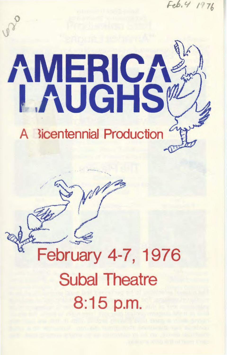$Eeb.4$  $v^{\circ}$ AMERICA A licentennial Production

'·

.. / ....... -.. . ;; d /,ji/~ ,· ~... , *tJir* i'..."' .. <sup>~</sup>

 $\frac{1}{2} \frac{1}{2} \frac{1}{2}$ 

 $\sim$  ( $\sim$ 

 $\overline{a}$ 

# $\leq$ February 4-7, 1976 Subal Theatre 8:15 p.m.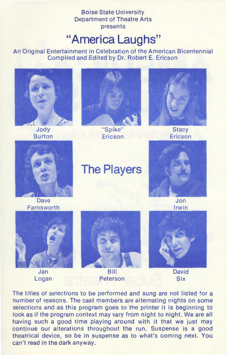Boise State University Department of Theatre Arts presents

### **"America Laughs"**

An Original Entertainment in Celebration of the American Bicentennial Compiled and Edited by Dr. Robert E. Ericson



The titles of selections to be performed and sung are not listed for a number of reasons. The cast members are alternating nights on some selections and as this program goes to the printer it is beginning to look as if the program context may vary from night to night. We are all having such a good time playing around with it that we just may continue our alterations throughout the run. Suspense is a good theatrical device, so be in suspense as to what's coming next. You can't read in the dark anyway.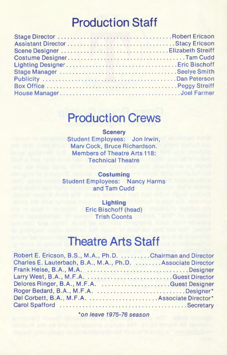# **Production Staff**

# **Production Crews**

#### **Scenery**

Student Employees: Jon Irwin, Marv Cock, Bruce Richardson. Members of Theatre Arts 118: Technical Theatre

**Costuming**  Student Employees: Nancy Harms and Tam Cudd

> **Lighting**  Eric Bischoff (head) **Trish Coonts**

#### **Theatre Arts Staff**

| Robert E. Ericson, B.S., M.A., Ph.D. Chairman and Director   |  |
|--------------------------------------------------------------|--|
| Charles E. Lauterbach, B.A., M.A., Ph.D.  Associate Director |  |
|                                                              |  |
|                                                              |  |
| Delores Ringer, B.A., M.F.A. Guest Designer                  |  |
| Roger Bedard, B.A., M.F.A. Designer*                         |  |
| Del Corbett, B.A., M.F.A.  Associate Director*               |  |
|                                                              |  |

\*on leave 1975-76 season